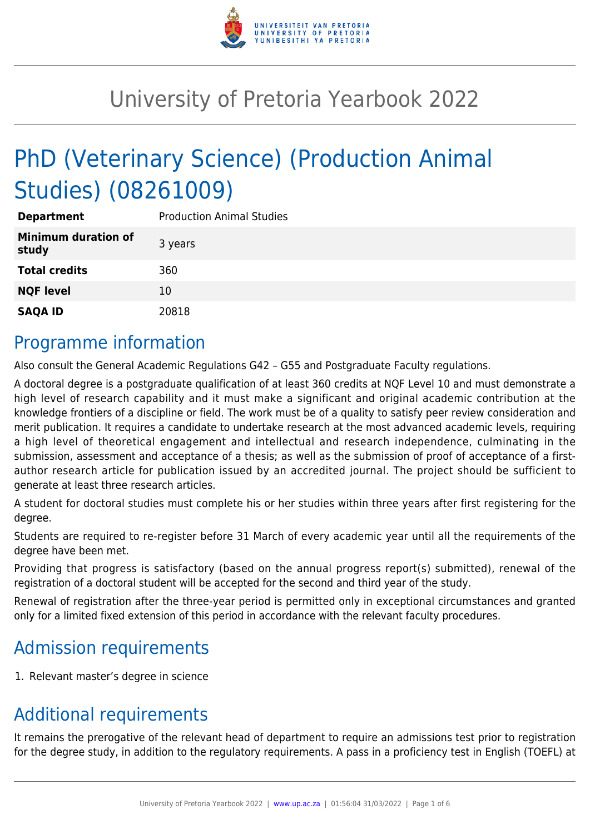

# University of Pretoria Yearbook 2022

# PhD (Veterinary Science) (Production Animal Studies) (08261009)

| <b>Department</b>                   | <b>Production Animal Studies</b> |
|-------------------------------------|----------------------------------|
| <b>Minimum duration of</b><br>study | 3 years                          |
| <b>Total credits</b>                | 360                              |
| <b>NQF level</b>                    | 10                               |
| <b>SAQA ID</b>                      | 20818                            |

### Programme information

Also consult the General Academic Regulations G42 – G55 and Postgraduate Faculty regulations.

A doctoral degree is a postgraduate qualification of at least 360 credits at NQF Level 10 and must demonstrate a high level of research capability and it must make a significant and original academic contribution at the knowledge frontiers of a discipline or field. The work must be of a quality to satisfy peer review consideration and merit publication. It requires a candidate to undertake research at the most advanced academic levels, requiring a high level of theoretical engagement and intellectual and research independence, culminating in the submission, assessment and acceptance of a thesis; as well as the submission of proof of acceptance of a firstauthor research article for publication issued by an accredited journal. The project should be sufficient to generate at least three research articles.

A student for doctoral studies must complete his or her studies within three years after first registering for the degree.

Students are required to re-register before 31 March of every academic year until all the requirements of the degree have been met.

Providing that progress is satisfactory (based on the annual progress report(s) submitted), renewal of the registration of a doctoral student will be accepted for the second and third year of the study.

Renewal of registration after the three-year period is permitted only in exceptional circumstances and granted only for a limited fixed extension of this period in accordance with the relevant faculty procedures.

# Admission requirements

1. Relevant master's degree in science

# Additional requirements

It remains the prerogative of the relevant head of department to require an admissions test prior to registration for the degree study, in addition to the regulatory requirements. A pass in a proficiency test in English (TOEFL) at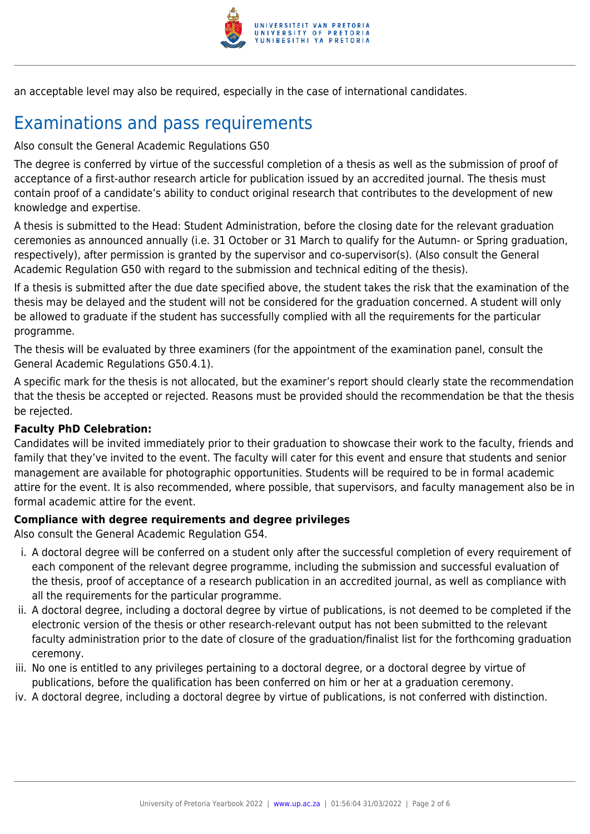

an acceptable level may also be required, especially in the case of international candidates.

# Examinations and pass requirements

Also consult the General Academic Regulations G50

The degree is conferred by virtue of the successful completion of a thesis as well as the submission of proof of acceptance of a first-author research article for publication issued by an accredited journal. The thesis must contain proof of a candidate's ability to conduct original research that contributes to the development of new knowledge and expertise.

A thesis is submitted to the Head: Student Administration, before the closing date for the relevant graduation ceremonies as announced annually (i.e. 31 October or 31 March to qualify for the Autumn- or Spring graduation, respectively), after permission is granted by the supervisor and co-supervisor(s). (Also consult the General Academic Regulation G50 with regard to the submission and technical editing of the thesis).

If a thesis is submitted after the due date specified above, the student takes the risk that the examination of the thesis may be delayed and the student will not be considered for the graduation concerned. A student will only be allowed to graduate if the student has successfully complied with all the requirements for the particular programme.

The thesis will be evaluated by three examiners (for the appointment of the examination panel, consult the General Academic Regulations G50.4.1).

A specific mark for the thesis is not allocated, but the examiner's report should clearly state the recommendation that the thesis be accepted or rejected. Reasons must be provided should the recommendation be that the thesis be rejected.

#### **Faculty PhD Celebration:**

Candidates will be invited immediately prior to their graduation to showcase their work to the faculty, friends and family that they've invited to the event. The faculty will cater for this event and ensure that students and senior management are available for photographic opportunities. Students will be required to be in formal academic attire for the event. It is also recommended, where possible, that supervisors, and faculty management also be in formal academic attire for the event.

#### **Compliance with degree requirements and degree privileges**

Also consult the General Academic Regulation G54.

- i. A doctoral degree will be conferred on a student only after the successful completion of every requirement of each component of the relevant degree programme, including the submission and successful evaluation of the thesis, proof of acceptance of a research publication in an accredited journal, as well as compliance with all the requirements for the particular programme.
- ii. A doctoral degree, including a doctoral degree by virtue of publications, is not deemed to be completed if the electronic version of the thesis or other research-relevant output has not been submitted to the relevant faculty administration prior to the date of closure of the graduation/finalist list for the forthcoming graduation ceremony.
- iii. No one is entitled to any privileges pertaining to a doctoral degree, or a doctoral degree by virtue of publications, before the qualification has been conferred on him or her at a graduation ceremony.
- iv. A doctoral degree, including a doctoral degree by virtue of publications, is not conferred with distinction.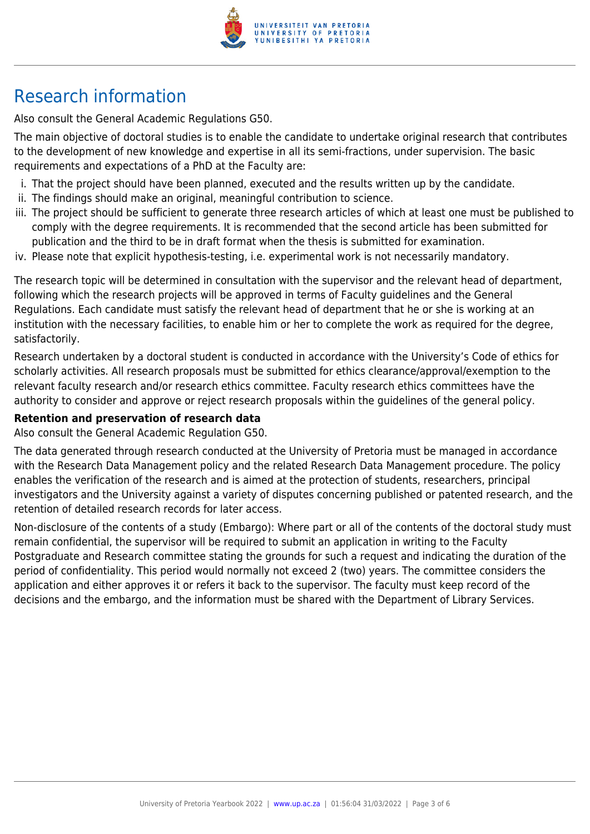

# Research information

Also consult the General Academic Regulations G50.

The main objective of doctoral studies is to enable the candidate to undertake original research that contributes to the development of new knowledge and expertise in all its semi-fractions, under supervision. The basic requirements and expectations of a PhD at the Faculty are:

- i. That the project should have been planned, executed and the results written up by the candidate.
- ii. The findings should make an original, meaningful contribution to science.
- iii. The project should be sufficient to generate three research articles of which at least one must be published to comply with the degree requirements. It is recommended that the second article has been submitted for publication and the third to be in draft format when the thesis is submitted for examination.
- iv. Please note that explicit hypothesis-testing, i.e. experimental work is not necessarily mandatory.

The research topic will be determined in consultation with the supervisor and the relevant head of department, following which the research projects will be approved in terms of Faculty guidelines and the General Regulations. Each candidate must satisfy the relevant head of department that he or she is working at an institution with the necessary facilities, to enable him or her to complete the work as required for the degree, satisfactorily.

Research undertaken by a doctoral student is conducted in accordance with the University's Code of ethics for scholarly activities. All research proposals must be submitted for ethics clearance/approval/exemption to the relevant faculty research and/or research ethics committee. Faculty research ethics committees have the authority to consider and approve or reject research proposals within the guidelines of the general policy.

#### **Retention and preservation of research data**

Also consult the General Academic Regulation G50.

The data generated through research conducted at the University of Pretoria must be managed in accordance with the Research Data Management policy and the related Research Data Management procedure. The policy enables the verification of the research and is aimed at the protection of students, researchers, principal investigators and the University against a variety of disputes concerning published or patented research, and the retention of detailed research records for later access.

Non-disclosure of the contents of a study (Embargo): Where part or all of the contents of the doctoral study must remain confidential, the supervisor will be required to submit an application in writing to the Faculty Postgraduate and Research committee stating the grounds for such a request and indicating the duration of the period of confidentiality. This period would normally not exceed 2 (two) years. The committee considers the application and either approves it or refers it back to the supervisor. The faculty must keep record of the decisions and the embargo, and the information must be shared with the Department of Library Services.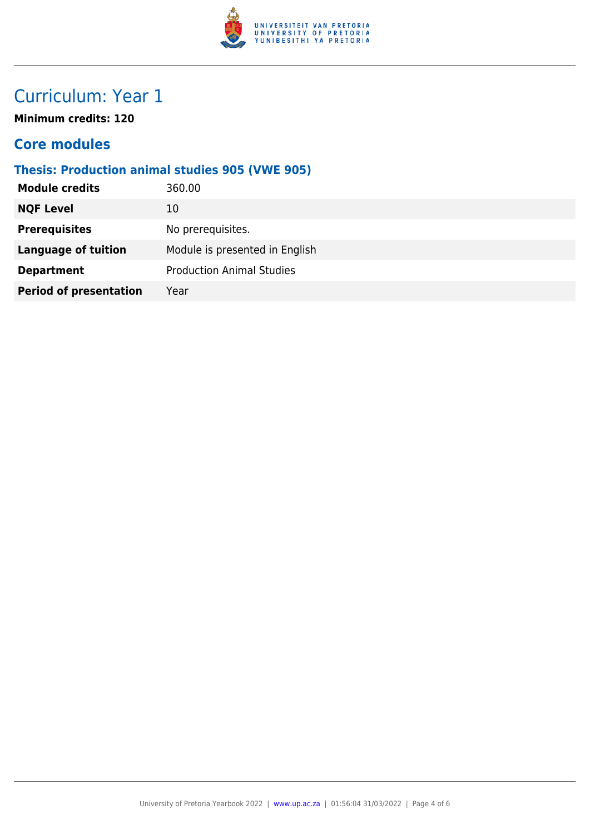

# Curriculum: Year 1

**Minimum credits: 120**

#### **Core modules**

#### **Thesis: Production animal studies 905 (VWE 905)**

| <b>Module credits</b>         | 360.00                           |
|-------------------------------|----------------------------------|
| <b>NQF Level</b>              | 10                               |
| <b>Prerequisites</b>          | No prerequisites.                |
| <b>Language of tuition</b>    | Module is presented in English   |
| <b>Department</b>             | <b>Production Animal Studies</b> |
| <b>Period of presentation</b> | Year                             |
|                               |                                  |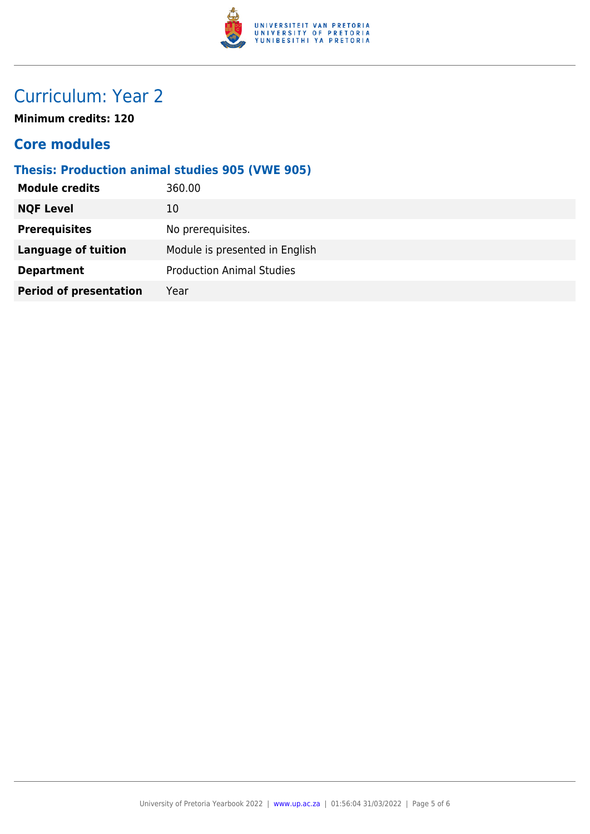

# Curriculum: Year 2

**Minimum credits: 120**

#### **Core modules**

#### **Thesis: Production animal studies 905 (VWE 905)**

| <b>Module credits</b>         | 360.00                           |
|-------------------------------|----------------------------------|
| <b>NQF Level</b>              | 10                               |
| <b>Prerequisites</b>          | No prerequisites.                |
| <b>Language of tuition</b>    | Module is presented in English   |
| <b>Department</b>             | <b>Production Animal Studies</b> |
| <b>Period of presentation</b> | Year                             |
|                               |                                  |